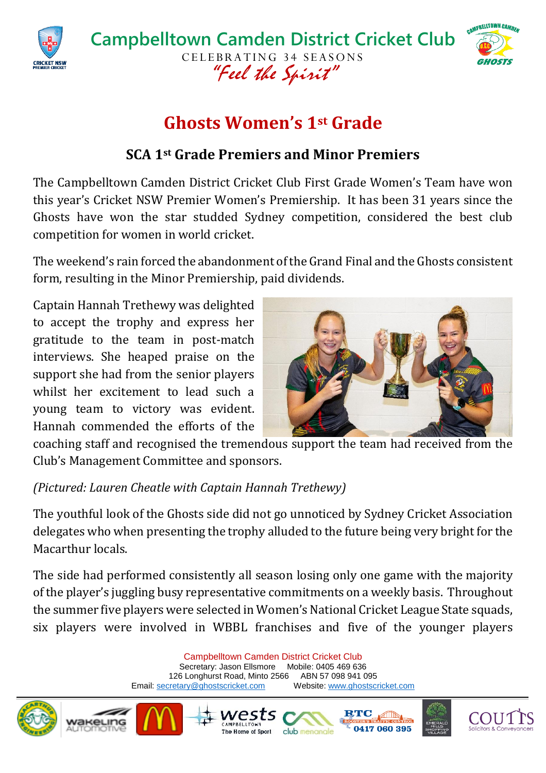



# **Ghosts Women's 1st Grade**

### **SCA 1st Grade Premiers and Minor Premiers**

The Campbelltown Camden District Cricket Club First Grade Women's Team have won this year's Cricket NSW Premier Women's Premiership. It has been 31 years since the Ghosts have won the star studded Sydney competition, considered the best club competition for women in world cricket.

The weekend's rain forced the abandonment of the Grand Final and the Ghosts consistent form, resulting in the Minor Premiership, paid dividends.

Captain Hannah Trethewy was delighted to accept the trophy and express her gratitude to the team in post-match interviews. She heaped praise on the support she had from the senior players whilst her excitement to lead such a young team to victory was evident. Hannah commended the efforts of the



coaching staff and recognised the tremendous support the team had received from the Club's Management Committee and sponsors.

#### *(Pictured: Lauren Cheatle with Captain Hannah Trethewy)*

The youthful look of the Ghosts side did not go unnoticed by Sydney Cricket Association delegates who when presenting the trophy alluded to the future being very bright for the Macarthur locals.

The side had performed consistently all season losing only one game with the majority of the player's juggling busy representative commitments on a weekly basis. Throughout the summer five players were selected in Women's National Cricket League State squads, six players were involved in WBBL franchises and five of the younger players

> Campbelltown Camden District Cricket Club Secretary: Jason Ellsmore Mobile: 0405 469 636 126 Longhurst Road, Minto 2566 ABN 57 098 941 095<br>
> Stretary@ghostscricket.com Website: www.ghostscricket.com Email[: secretary@ghostscricket.com](mailto:secretary@ghostscricket.com)

> > rest

The Home of Sport





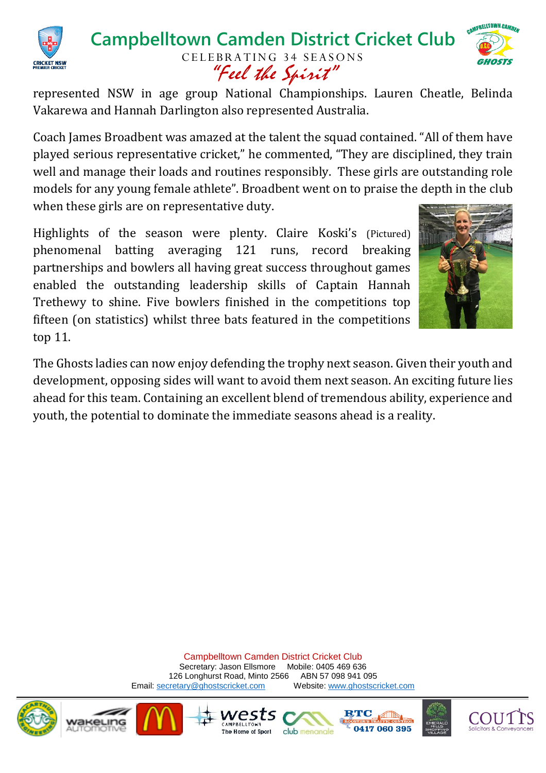

#### **Campbelltown Camden District Cricket Club** CELEBRATING 34 SEASONS "Feel the Spirit"



represented NSW in age group National Championships. Lauren Cheatle, Belinda Vakarewa and Hannah Darlington also represented Australia.

Coach James Broadbent was amazed at the talent the squad contained. "All of them have played serious representative cricket," he commented, "They are disciplined, they train well and manage their loads and routines responsibly. These girls are outstanding role models for any young female athlete". Broadbent went on to praise the depth in the club when these girls are on representative duty.

Highlights of the season were plenty. Claire Koski's (Pictured) phenomenal batting averaging 121 runs, record breaking partnerships and bowlers all having great success throughout games enabled the outstanding leadership skills of Captain Hannah Trethewy to shine. Five bowlers finished in the competitions top fifteen (on statistics) whilst three bats featured in the competitions top 11.



The Ghosts ladies can now enjoy defending the trophy next season. Given their youth and development, opposing sides will want to avoid them next season. An exciting future lies ahead for this team. Containing an excellent blend of tremendous ability, experience and youth, the potential to dominate the immediate seasons ahead is a reality.

> Campbelltown Camden District Cricket Club Secretary: Jason Ellsmore Mobile: 0405 469 636 126 Longhurst Road, Minto 2566 ABN 57 098 941 095 Email[: secretary@ghostscricket.com](mailto:secretary@ghostscricket.com) Website[: www.ghostscricket.com](http://www.ghostscricket.com/)